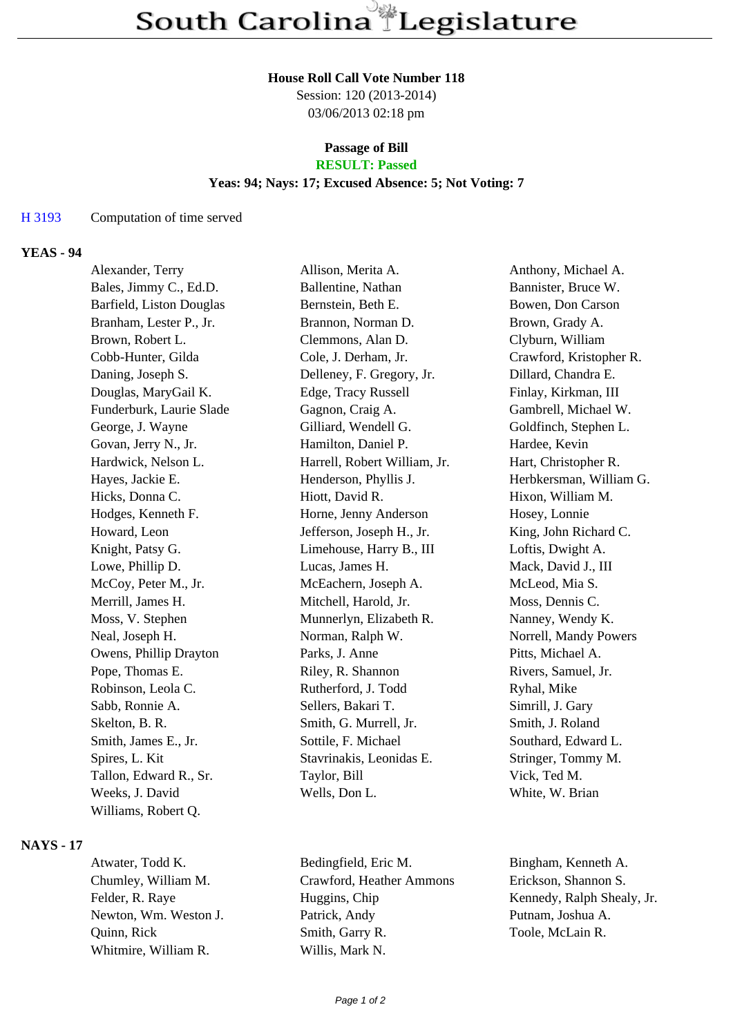### **House Roll Call Vote Number 118**

Session: 120 (2013-2014) 03/06/2013 02:18 pm

### **Passage of Bill RESULT: Passed**

### **Yeas: 94; Nays: 17; Excused Absence: 5; Not Voting: 7**

#### H 3193 Computation of time served

## **YEAS - 94**

| Alexander, Terry         | Allison, Merita A.           | Anthony, Michael A.     |
|--------------------------|------------------------------|-------------------------|
| Bales, Jimmy C., Ed.D.   | Ballentine, Nathan           | Bannister, Bruce W.     |
| Barfield, Liston Douglas | Bernstein, Beth E.           | Bowen, Don Carson       |
| Branham, Lester P., Jr.  | Brannon, Norman D.           | Brown, Grady A.         |
| Brown, Robert L.         | Clemmons, Alan D.            | Clyburn, William        |
| Cobb-Hunter, Gilda       | Cole, J. Derham, Jr.         | Crawford, Kristopher R. |
| Daning, Joseph S.        | Delleney, F. Gregory, Jr.    | Dillard, Chandra E.     |
| Douglas, MaryGail K.     | Edge, Tracy Russell          | Finlay, Kirkman, III    |
| Funderburk, Laurie Slade | Gagnon, Craig A.             | Gambrell, Michael W.    |
| George, J. Wayne         | Gilliard, Wendell G.         | Goldfinch, Stephen L.   |
| Govan, Jerry N., Jr.     | Hamilton, Daniel P.          | Hardee, Kevin           |
| Hardwick, Nelson L.      | Harrell, Robert William, Jr. | Hart, Christopher R.    |
| Hayes, Jackie E.         | Henderson, Phyllis J.        | Herbkersman, William G. |
| Hicks, Donna C.          | Hiott, David R.              | Hixon, William M.       |
| Hodges, Kenneth F.       | Horne, Jenny Anderson        | Hosey, Lonnie           |
| Howard, Leon             | Jefferson, Joseph H., Jr.    | King, John Richard C.   |
| Knight, Patsy G.         | Limehouse, Harry B., III     | Loftis, Dwight A.       |
| Lowe, Phillip D.         | Lucas, James H.              | Mack, David J., III     |
| McCoy, Peter M., Jr.     | McEachern, Joseph A.         | McLeod, Mia S.          |
| Merrill, James H.        | Mitchell, Harold, Jr.        | Moss, Dennis C.         |
| Moss, V. Stephen         | Munnerlyn, Elizabeth R.      | Nanney, Wendy K.        |
| Neal, Joseph H.          | Norman, Ralph W.             | Norrell, Mandy Powers   |
| Owens, Phillip Drayton   | Parks, J. Anne               | Pitts, Michael A.       |
| Pope, Thomas E.          | Riley, R. Shannon            | Rivers, Samuel, Jr.     |
| Robinson, Leola C.       | Rutherford, J. Todd          | Ryhal, Mike             |
| Sabb, Ronnie A.          | Sellers, Bakari T.           | Simrill, J. Gary        |
| Skelton, B. R.           | Smith, G. Murrell, Jr.       | Smith, J. Roland        |
| Smith, James E., Jr.     | Sottile, F. Michael          | Southard, Edward L.     |
| Spires, L. Kit           | Stavrinakis, Leonidas E.     | Stringer, Tommy M.      |
| Tallon, Edward R., Sr.   | Taylor, Bill                 | Vick, Ted M.            |
| Weeks, J. David          | Wells, Don L.                | White, W. Brian         |
| Williams, Robert Q.      |                              |                         |

#### **NAYS - 17**

Whitmire, William R. Willis, Mark N.

Atwater, Todd K. Bedingfield, Eric M. Bingham, Kenneth A. Chumley, William M. Crawford, Heather Ammons Erickson, Shannon S. Felder, R. Raye Huggins, Chip Kennedy, Ralph Shealy, Jr. Newton, Wm. Weston J. Patrick, Andy Putnam, Joshua A. Quinn, Rick Smith, Garry R. Toole, McLain R.